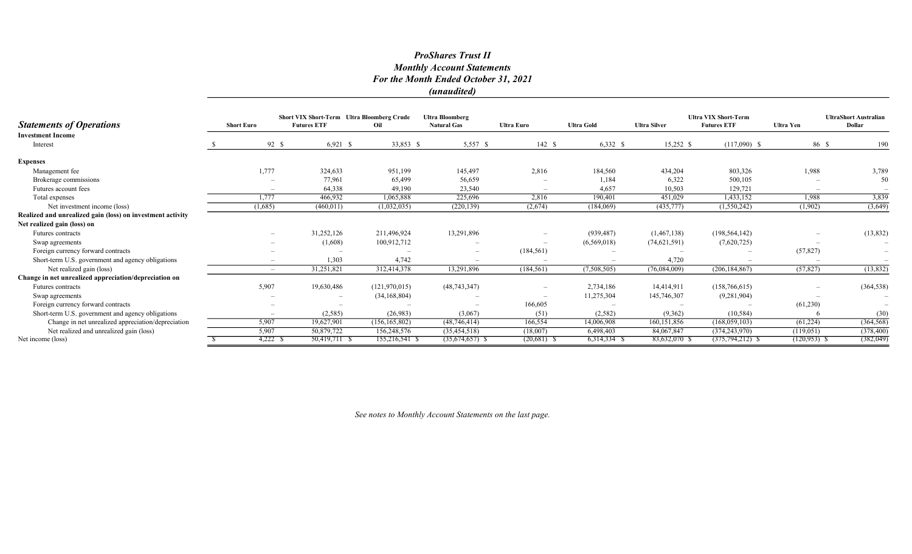### ProShares Trust II Monthly Account Statements For the Month Ended October 31, 2021 (unaudited)

|                                                            |                          | Short VIX Short-Term Ultra Bloomberg Crude |                 | <b>Ultra Bloomberg</b>   |                   |                   |                     | <b>Ultra VIX Short-Term</b> |                          | <b>UltraShort Australian</b> |
|------------------------------------------------------------|--------------------------|--------------------------------------------|-----------------|--------------------------|-------------------|-------------------|---------------------|-----------------------------|--------------------------|------------------------------|
| <b>Statements of Operations</b>                            | <b>Short Euro</b>        | <b>Futures ETF</b>                         | Oil             | <b>Natural Gas</b>       | <b>Ultra Euro</b> | <b>Ultra Gold</b> | <b>Ultra Silver</b> | <b>Futures ETF</b>          | Ultra Yen                | Dollar                       |
| <b>Investment Income</b>                                   |                          |                                            |                 |                          |                   |                   |                     |                             |                          |                              |
| Interest                                                   |                          | $6,921$ \$<br>92 \$                        | 33,853 \$       | 5,557 \$                 | 142S              | $6,332$ \$        | $15,252$ \$         | $(117,090)$ \$              | 86 \$                    | 190                          |
| <b>Expenses</b>                                            |                          |                                            |                 |                          |                   |                   |                     |                             |                          |                              |
| Management fee                                             | 1,777                    | 324,633                                    | 951,199         | 145,497                  | 2,816             | 184,560           | 434,204             | 803,326                     | 1,988                    | 3,789                        |
| Brokerage commissions                                      |                          | 77,961                                     | 65,499          | 56,659                   |                   | 1,184             | 6,322               | 500,105                     |                          | 50                           |
| Futures account fees                                       | $\overline{\phantom{a}}$ | 64,338                                     | 49,190          | 23,540                   |                   | 4,657             | 10,503              | 129,721                     | $\overline{\phantom{a}}$ |                              |
| Total expenses                                             | 1,777                    | 466,932                                    | 1,065,888       | 225,696                  | 2,816             | 190,401           | 451,029             | 1,433,152                   | 1,988                    | 3,839                        |
| Net investment income (loss)                               | (1,685)                  | (460, 011)                                 | (1,032,035)     | (220, 139)               | (2,674)           | (184,069)         | (435,777)           | (1,550,242)                 | (1,902)                  | (3,649)                      |
| Realized and unrealized gain (loss) on investment activity |                          |                                            |                 |                          |                   |                   |                     |                             |                          |                              |
| Net realized gain (loss) on                                |                          |                                            |                 |                          |                   |                   |                     |                             |                          |                              |
| Futures contracts                                          |                          | 31,252,126                                 | 211,496,924     | 13,291,896               |                   | (939, 487)        | (1,467,138)         | (198, 564, 142)             |                          | (13,832)                     |
| Swap agreements                                            |                          | (1,608)                                    | 100,912,712     |                          |                   | (6,569,018)       | (74,621,591)        | (7,620,725)                 |                          |                              |
| Foreign currency forward contracts                         |                          | $\overline{\phantom{a}}$                   |                 | $\overline{\phantom{a}}$ | (184, 561)        |                   |                     |                             | (57, 827)                |                              |
| Short-term U.S. government and agency obligations          | $\overline{\phantom{m}}$ | 1,303                                      | 4,742           | $\overline{\phantom{a}}$ |                   |                   | 4,720               |                             |                          |                              |
| Net realized gain (loss)                                   | $\overline{\phantom{a}}$ | 31,251,821                                 | 312,414,378     | 13,291,896               | (184, 561)        | (7,508,505)       | (76,084,009)        | (206, 184, 867)             | (57, 827)                | (13,832)                     |
| Change in net unrealized appreciation/depreciation on      |                          |                                            |                 |                          |                   |                   |                     |                             |                          |                              |
| Futures contracts                                          | 5,907                    | 19,630,486                                 | (121,970,015)   | (48, 743, 347)           |                   | 2,734,186         | 14,414,911          | (158, 766, 615)             |                          | (364, 538)                   |
| Swap agreements                                            |                          | $\overline{\phantom{m}}$                   | (34, 168, 804)  |                          |                   | 11,275,304        | 145,746,307         | (9, 281, 904)               |                          |                              |
| Foreign currency forward contracts                         |                          | $\overline{\phantom{m}}$                   |                 | $\overline{\phantom{a}}$ | 166,605           |                   |                     |                             | (61, 230)                |                              |
| Short-term U.S. government and agency obligations          | $\overline{\phantom{a}}$ | (2,585)                                    | (26,983)        | (3,067)                  | (51)              | (2,582)           | (9,362)             | (10, 584)                   |                          | (30)                         |
| Change in net unrealized appreciation/depreciation         | 5,907                    | 19,627,901                                 | (156, 165, 802) | (48, 746, 414)           | 166,554           | 14,006,908        | 160, 151, 856       | (168, 059, 103)             | (61, 224)                | (364, 568)                   |
| Net realized and unrealized gain (loss)                    | 5,907                    | 50,879,722                                 | 156,248,576     | (35, 454, 518)           | (18,007)          | 6,498,403         | 84,067,847          | (374, 243, 970)             | (119,051)                | (378, 400)                   |
| Net income (loss)                                          | $4,222$ \$               | 50,419,711 \$                              | 155,216,541 \$  | $(35,674,657)$ \$        | $(20,681)$ \$     | 6,314,334 \$      | 83,632,070 S        | $(375, 794, 212)$ \$        | $(120, 953)$ \$          | (382,049)                    |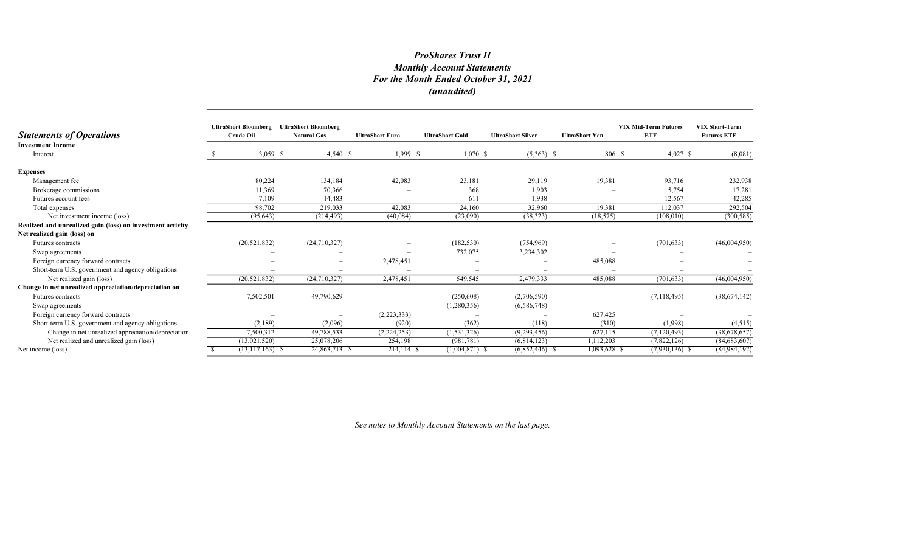# ProShares Trust II Monthly Account Statements For the Month Ended October 31, 2021 (unaudited)

| <b>Statements of Operations</b>                            | <b>UltraShort Bloomberg</b><br><b>Crude Oil</b> | <b>UltraShort Bloomberg</b><br><b>Natural Gas</b> | <b>UltraShort Euro</b> | <b>UltraShort Gold</b> | <b>UltraShort Silver</b> | <b>UltraShort Yen</b>    | <b>VIX Mid-Term Futures</b><br><b>ETF</b> | <b>VIX Short-Term</b><br><b>Futures ETF</b> |
|------------------------------------------------------------|-------------------------------------------------|---------------------------------------------------|------------------------|------------------------|--------------------------|--------------------------|-------------------------------------------|---------------------------------------------|
| <b>Investment Income</b><br>Interest                       | $3,059$ \$                                      | $4,540$ \$                                        | 1,999 S                | $1,070$ \$             | $(5,363)$ \$             | 806 \$                   | $4,027$ \$                                | (8,081)                                     |
| <b>Expenses</b>                                            |                                                 |                                                   |                        |                        |                          |                          |                                           |                                             |
| Management fee                                             | 80,224                                          | 134,184                                           | 42,083                 | 23,181                 | 29,119                   | 19,381                   | 93,716                                    | 232,938                                     |
| Brokerage commissions                                      | 11,369                                          | 70,366                                            |                        | 368                    | 1,903                    |                          | 5,754                                     | 17,281                                      |
| Futures account fees                                       | 7,109                                           | 14,483                                            |                        | 611                    | 1,938                    | $\overline{\phantom{a}}$ | 12,567                                    | 42,285                                      |
| Total expenses                                             | 98,702                                          | 219,033                                           | 42,083                 | 24,160                 | 32,960                   | 19.381                   | 112,037                                   | 292,504                                     |
| Net investment income (loss)                               | (95, 643)                                       | (214, 493)                                        | (40,084)               | (23,090)               | (38, 323)                | (18, 575)                | (108,010)                                 | (300, 585)                                  |
| Realized and unrealized gain (loss) on investment activity |                                                 |                                                   |                        |                        |                          |                          |                                           |                                             |
| Net realized gain (loss) on                                |                                                 |                                                   |                        |                        |                          |                          |                                           |                                             |
| Futures contracts                                          | (20, 521, 832)                                  | (24,710,327)                                      |                        | (182, 530)             | (754, 969)               | -                        | (701, 633)                                | (46,004,950)                                |
| Swap agreements                                            |                                                 |                                                   |                        | 732,075                | 3,234,302                |                          |                                           |                                             |
| Foreign currency forward contracts                         |                                                 |                                                   | 2,478,451              |                        |                          | 485,088                  |                                           |                                             |
| Short-term U.S. government and agency obligations          |                                                 |                                                   |                        |                        |                          |                          |                                           |                                             |
| Net realized gain (loss)                                   | (20, 521, 832)                                  | (24,710,327)                                      | 2,478,451              | 549,545                | 2,479,333                | 485,088                  | (701, 633)                                | (46,004,950)                                |
| Change in net unrealized appreciation/depreciation on      |                                                 |                                                   |                        |                        |                          |                          |                                           |                                             |
| Futures contracts                                          | 7,502,501                                       | 49,790,629                                        |                        | (250, 608)             | (2,706,590)              |                          | (7,118,495)                               | (38, 674, 142)                              |
| Swap agreements                                            |                                                 |                                                   |                        | (1,280,356)            | (6,586,748)              |                          |                                           |                                             |
| Foreign currency forward contracts                         |                                                 |                                                   | (2,223,333)            |                        |                          | 627,425                  |                                           |                                             |
| Short-term U.S. government and agency obligations          | (2,189)                                         | (2,096)                                           | (920)                  | (362)                  | (118)                    | (310)                    | (1,998)                                   | (4,515)                                     |
| Change in net unrealized appreciation/depreciation         | 7,500,312                                       | 49,788,533                                        | (2,224,253)            | (1, 531, 326)          | (9,293,456)              | 627,115                  | (7,120,493)                               | (38,678,657)                                |
| Net realized and unrealized gain (loss)                    | (13,021,520)                                    | 25,078,206                                        | 254,198                | (981,781)              | (6,814,123)              | 1,112,203                | (7,822,126)                               | (84, 683, 607)                              |
| Net income (loss)                                          | $(13,117,163)$ \$                               | 24,863,713 \$                                     | 214,114 \$             | $(1,004,871)$ \$       | $(6,852,446)$ \$         | 1,093,628 \$             | $(7,930,136)$ \$                          | (84, 984, 192)                              |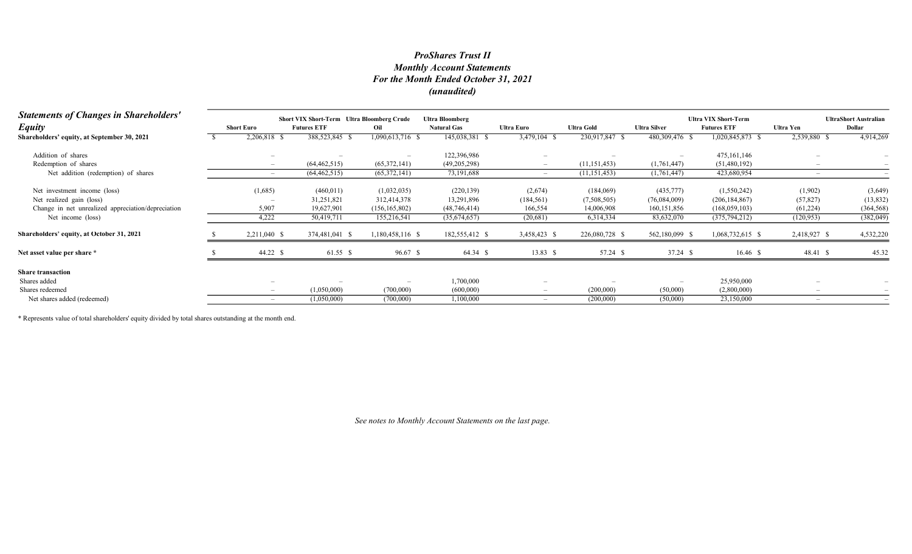# Monthly Account Statements For the Month Ended October 31, 2021 (unaudited) ProShares Trust II

| <b>Statements of Changes in Shareholders'</b><br><b>Equity</b> | <b>Short Euro</b>        | <b>Short VIX Short-Term</b> Ultra Bloomberg Crude<br><b>Futures ETF</b> | Oil              | <b>Ultra Bloomberg</b><br><b>Natural Gas</b> | Ultra Euro   | <b>Ultra Gold</b> | <b>Ultra Silver</b> | <b>Ultra VIX Short-Term</b><br><b>Futures ETF</b> | Ultra Yen    | <b>UltraShort Australian</b><br>Dollar |
|----------------------------------------------------------------|--------------------------|-------------------------------------------------------------------------|------------------|----------------------------------------------|--------------|-------------------|---------------------|---------------------------------------------------|--------------|----------------------------------------|
| Shareholders' equity, at September 30, 2021                    | 2,206,818 \$             | 388,523,845 \$                                                          | 1,090,613,716 \$ | 145,038,381                                  | 3,479,104 \$ | 230,917,847 \$    | 480,309,476 \$      | 1,020,845,873 \$                                  | 2,539,880 \$ | 4,914,269                              |
| Addition of shares                                             |                          |                                                                         | $-$              | 122,396,986                                  |              |                   |                     | 475, 161, 146                                     |              |                                        |
| Redemption of shares                                           | $\overline{\phantom{0}}$ | (64, 462, 515)                                                          | (65,372,141)     | (49,205,298)                                 |              | (11, 151, 453)    | (1,761,447)         | (51, 480, 192)                                    |              |                                        |
| Net addition (redemption) of shares                            |                          | (64, 462, 515)                                                          | (65,372,141)     | 73,191,688                                   |              | (11, 151, 453)    | (1,761,447)         | 423,680,954                                       |              |                                        |
| Net investment income (loss)                                   | (1,685)                  | (460, 011)                                                              | (1,032,035)      | (220, 139)                                   | (2,674)      | (184,069)         | (435,777)           | (1,550,242)                                       | (1,902)      | (3,649)                                |
| Net realized gain (loss)                                       |                          | 31,251,821                                                              | 312,414,378      | 13,291,896                                   | (184, 561)   | (7,508,505)       | (76,084,009)        | (206, 184, 867)                                   | (57, 827)    | (13, 832)                              |
| Change in net unrealized appreciation/depreciation             | 5,907                    | 19,627,901                                                              | (156, 165, 802)  | (48, 746, 414)                               | 166,554      | 14,006,908        | 160, 151, 856       | (168, 059, 103)                                   | (61,224)     | (364, 568)                             |
| Net income (loss)                                              | 4,222                    | 50,419,711                                                              | 155,216,541      | (35,674,657)                                 | (20, 681)    | 6,314,334         | 83,632,070          | (375, 794, 212)                                   | (120, 953)   | (382,049)                              |
| Shareholders' equity, at October 31, 2021                      | 2,211,040 \$             | 374,481,041 \$                                                          | 1,180,458,116 \$ | 182,555,412 \$                               | 3,458,423 \$ | 226,080,728 \$    | 562,180,099 \$      | 1,068,732,615 \$                                  | 2,418,927 \$ | 4,532,220                              |
| Net asset value per share *                                    | 44.22 \$                 | 61.55 \$                                                                | 96.67 \$         | 64.34 \$                                     | 13.83 \$     | 57.24 \$          | 37.24 \$            | $16.46$ \$                                        | 48.41 \$     | 45.32                                  |
| <b>Share transaction</b>                                       |                          |                                                                         |                  |                                              |              |                   |                     |                                                   |              |                                        |
| Shares added                                                   |                          |                                                                         |                  | 1,700,000                                    |              |                   |                     | 25,950,000                                        |              |                                        |
| Shares redeemed                                                |                          | (1,050,000)                                                             | (700,000)        | (600,000)                                    |              | (200,000)         | (50,000)            | (2,800,000)                                       |              |                                        |
| Net shares added (redeemed)                                    |                          | (1,050,000)                                                             | (700,000)        | 1,100,000                                    |              | (200,000)         | (50,000)            | 23,150,000                                        |              |                                        |

\* Represents value of total shareholders' equity divided by total shares outstanding at the month end.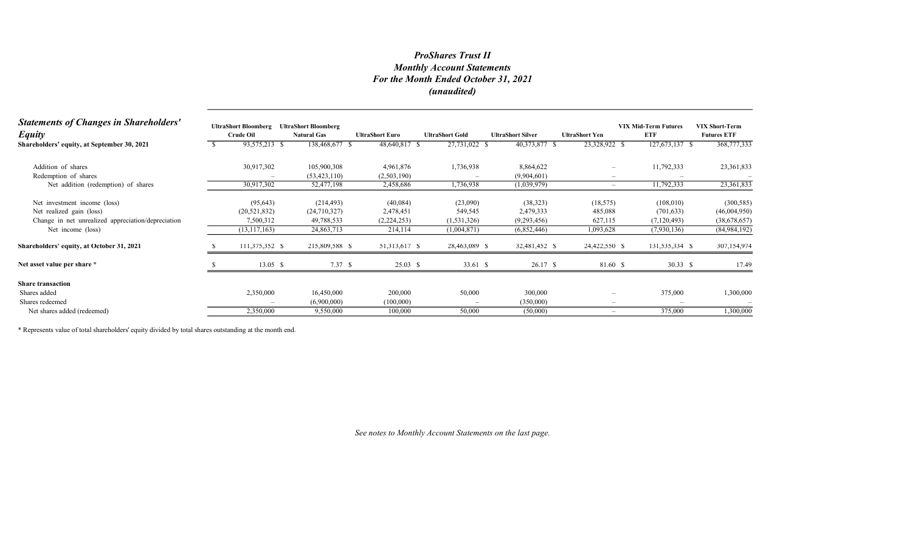# Monthly Account Statements For the Month Ended October 31, 2021 (unaudited) ProShares Trust II

| <b>Statements of Changes in Shareholders'</b><br><b>Equity</b> | <b>UltraShort Bloomberg</b><br>Crude Oil | <b>UltraShort Bloomberg</b><br><b>Natural Gas</b> | <b>UltraShort Euro</b> | <b>UltraShort Gold</b>   | <b>UltraShort Silver</b> | <b>UltraShort Yen</b>           | <b>VIX Mid-Term Futures</b><br><b>ETF</b> | <b>VIX Short-Term</b><br><b>Futures ETF</b> |
|----------------------------------------------------------------|------------------------------------------|---------------------------------------------------|------------------------|--------------------------|--------------------------|---------------------------------|-------------------------------------------|---------------------------------------------|
| Shareholders' equity, at September 30, 2021                    | 93,575,213 \$                            | 138,468,677 \$                                    | 48,640,817 \$          | 27,731,022 \$            | 40,373,877 \$            | 23,328,922 \$                   | 127,673,137 \$                            | 368,777,333                                 |
| Addition of shares                                             | 30,917,302                               | 105,900,308                                       | 4,961,876              | 1,736,938                | 8,864,622                | $\overline{\phantom{m}}$        | 11,792,333                                | 23,361,833                                  |
| Redemption of shares                                           |                                          | (53, 423, 110)                                    | (2,503,190)            |                          | (9,904,601)              | $\hspace{0.1mm}-\hspace{0.1mm}$ |                                           |                                             |
| Net addition (redemption) of shares                            | 30,917,302                               | 52,477,198                                        | 2,458,686              | 1,736,938                | (1,039,979)              | $\overline{\phantom{m}}$        | 11,792,333                                | 23,361,833                                  |
| Net investment income (loss)                                   | (95, 643)                                | (214, 493)                                        | (40,084)               | (23,090)                 | (38, 323)                | (18, 575)                       | (108,010)                                 | (300, 585)                                  |
| Net realized gain (loss)                                       | (20, 521, 832)                           | (24,710,327)                                      | 2,478,451              | 549,545                  | 2,479,333                | 485,088                         | (701, 633)                                | (46,004,950)                                |
| Change in net unrealized appreciation/depreciation             | 7,500,312                                | 49,788,533                                        | (2,224,253)            | (1, 531, 326)            | (9,293,456)              | 627,115                         | (7,120,493)                               | (38,678,657)                                |
| Net income (loss)                                              | (13, 117, 163)                           | 24,863,713                                        | 214,114                | (1,004,871)              | (6,852,446)              | 1,093,628                       | (7,930,136)                               | (84,984,192)                                |
| Shareholders' equity, at October 31, 2021                      | 111,375,352 \$                           | 215,809,588 \$                                    | 51,313,617 \$          | 28,463,089 \$            | 32,481,452 \$            | 24,422,550 \$                   | 131,535,334 \$                            | 307,154,974                                 |
| Net asset value per share *                                    | $13.05 \text{ }$ \$                      | 7.37 S                                            | $25.03$ \$             | 33.61 \$                 | 26.17 \$                 | 81.60 \$                        | 30.33 $\sqrt{5}$                          | 17.49                                       |
| <b>Share transaction</b>                                       |                                          |                                                   |                        |                          |                          |                                 |                                           |                                             |
| Shares added                                                   | 2,350,000                                | 16,450,000                                        | 200,000                | 50,000                   | 300,000                  | -                               | 375,000                                   | 1,300,000                                   |
| Shares redeemed                                                |                                          | (6,900,000)                                       | (100,000)              | $\overline{\phantom{a}}$ | (350,000)                | $\overline{\phantom{m}}$        |                                           |                                             |
| Net shares added (redeemed)                                    | 2,350,000                                | 9,550,000                                         | 100,000                | 50,000                   | (50,000)                 | $\overline{\phantom{a}}$        | 375,000                                   | 1,300,000                                   |

\* Represents value of total shareholders' equity divided by total shares outstanding at the month end.